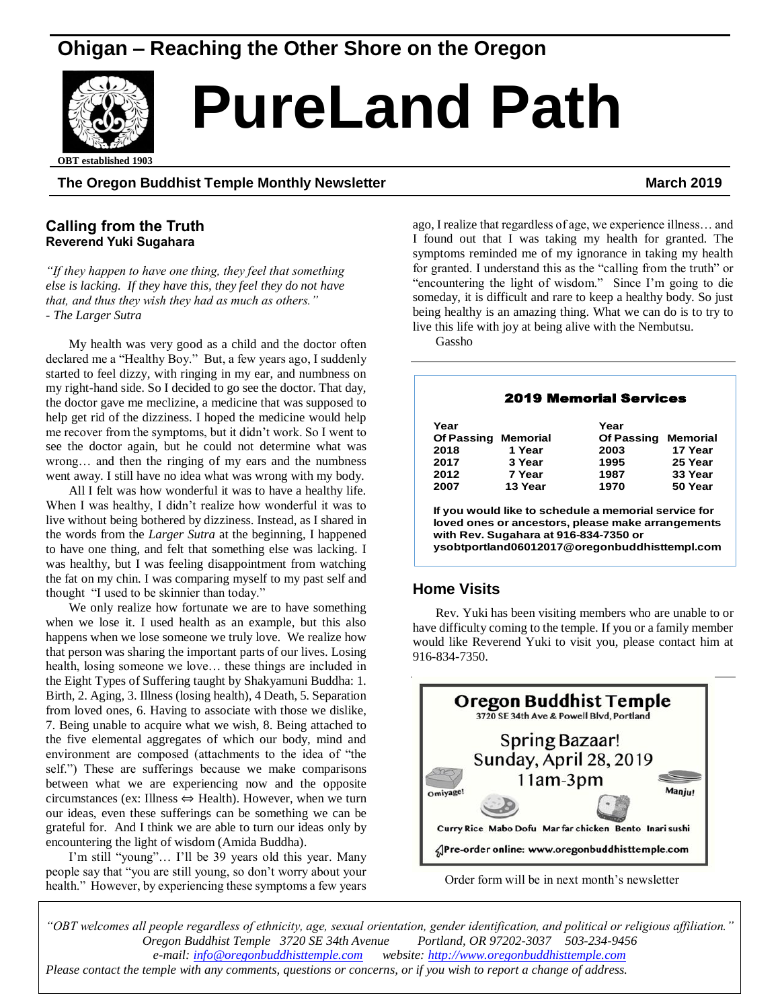## **Ohigan – Reaching the Other Shore on the Oregon**



# **PureLand Path**

#### **The Oregon Buddhist Temple Monthly Newsletter March 2019**

#### **Calling from the Truth Reverend Yuki Sugahara**

*"If they happen to have one thing, they feel that something else is lacking. If they have this, they feel they do not have that, and thus they wish they had as much as others." - The Larger Sutra*

My health was very good as a child and the doctor often declared me a "Healthy Boy." But, a few years ago, I suddenly started to feel dizzy, with ringing in my ear, and numbness on my right-hand side. So I decided to go see the doctor. That day, the doctor gave me meclizine, a medicine that was supposed to help get rid of the dizziness. I hoped the medicine would help me recover from the symptoms, but it didn't work. So I went to see the doctor again, but he could not determine what was wrong… and then the ringing of my ears and the numbness went away. I still have no idea what was wrong with my body.

All I felt was how wonderful it was to have a healthy life. When I was healthy, I didn't realize how wonderful it was to live without being bothered by dizziness. Instead, as I shared in the words from the *Larger Sutra* at the beginning, I happened to have one thing, and felt that something else was lacking. I was healthy, but I was feeling disappointment from watching the fat on my chin. I was comparing myself to my past self and thought "I used to be skinnier than today."

We only realize how fortunate we are to have something when we lose it. I used health as an example, but this also happens when we lose someone we truly love. We realize how that person was sharing the important parts of our lives. Losing health, losing someone we love… these things are included in the Eight Types of Suffering taught by Shakyamuni Buddha: 1. Birth, 2. Aging, 3. Illness (losing health), 4 Death, 5. Separation from loved ones, 6. Having to associate with those we dislike, 7. Being unable to acquire what we wish, 8. Being attached to the five elemental aggregates of which our body, mind and environment are composed (attachments to the idea of "the self.") These are sufferings because we make comparisons between what we are experiencing now and the opposite circumstances (ex: Illness ⇔ Health). However, when we turn our ideas, even these sufferings can be something we can be grateful for. And I think we are able to turn our ideas only by encountering the light of wisdom (Amida Buddha).

I'm still "young"… I'll be 39 years old this year. Many people say that "you are still young, so don't worry about your health." However, by experiencing these symptoms a few years ago, I realize that regardless of age, we experience illness… and I found out that I was taking my health for granted. The symptoms reminded me of my ignorance in taking my health for granted. I understand this as the "calling from the truth" or "encountering the light of wisdom." Since I'm going to die someday, it is difficult and rare to keep a healthy body. So just being healthy is an amazing thing. What we can do is to try to live this life with joy at being alive with the Nembutsu.

Gassho

| <b>2019 Memorial Services</b>                                                                                                                                                                       |          |            |                 |
|-----------------------------------------------------------------------------------------------------------------------------------------------------------------------------------------------------|----------|------------|-----------------|
| Year                                                                                                                                                                                                |          | Year       |                 |
| Of Passing                                                                                                                                                                                          | Memorial | Of Passing | <b>Memorial</b> |
| 2018                                                                                                                                                                                                | 1 Year   | 2003       | 17 Year         |
| 2017                                                                                                                                                                                                | 3 Year   | 1995       | 25 Year         |
| 2012                                                                                                                                                                                                | 7 Year   | 1987       | 33 Year         |
| 2007                                                                                                                                                                                                | 13 Year  | 1970       | 50 Year         |
| If you would like to schedule a memorial service for<br>loved ones or ancestors, please make arrangements<br>with Rev. Sugahara at 916-834-7350 or<br>ysobtportland06012017@oregonbuddhisttempl.com |          |            |                 |

#### **Home Visits**

Rev. Yuki has been visiting members who are unable to or have difficulty coming to the temple. If you or a family member would like Reverend Yuki to visit you, please contact him at 916-834-7350.



Order form will be in next month's newsletter

*"OBT welcomes all people regardless of ethnicity, age, sexual orientation, gender identification, and political or religious affiliation." Oregon Buddhist Temple 3720 SE 34th Avenue Portland, OR 97202-3037 503-234-9456 e-mail[: info@oregonbuddhisttemple.com](mailto:info@oregonbuddhisttemple.com) website: [http://www.oregonbuddhisttemple.com](http://www.oregonbuddhisttemple.com/)*

*Please contact the temple with any comments, questions or concerns, or if you wish to report a change of address.*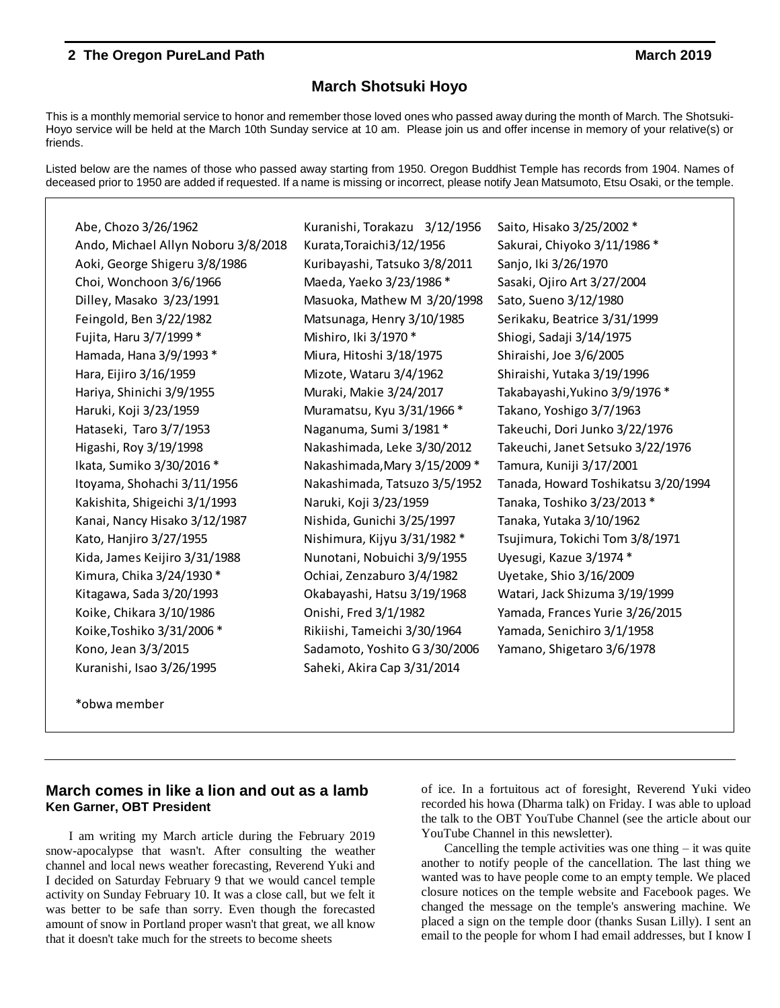#### **2 The Oregon PureLand Path March 2019**

### **March Shotsuki Hoyo**

This is a monthly memorial service to honor and remember those loved ones who passed away during the month of March. The Shotsuki-Hoyo service will be held at the March 10th Sunday service at 10 am. Please join us and offer incense in memory of your relative(s) or friends.

Listed below are the names of those who passed away starting from 1950. Oregon Buddhist Temple has records from 1904. Names of deceased prior to 1950 are added if requested. If a name is missing or incorrect, please notify Jean Matsumoto, Etsu Osaki, or the temple.

Abe, Chozo 3/26/1962 Kuranishi, Torakazu 3/12/1956 Saito, Hisako 3/25/2002 \* Ando, Michael Allyn Noboru 3/8/2018 Kurata,Toraichi3/12/1956 Sakurai, Chiyoko 3/11/1986 \* Aoki, George Shigeru 3/8/1986 Kuribayashi, Tatsuko 3/8/2011 Sanjo, Iki 3/26/1970 Choi, Wonchoon 3/6/1966 Maeda, Yaeko 3/23/1986 \* Sasaki, Ojiro Art 3/27/2004 Dilley, Masako 3/23/1991 Masuoka, Mathew M 3/20/1998 Sato, Sueno 3/12/1980 Feingold, Ben 3/22/1982 Matsunaga, Henry 3/10/1985 Serikaku, Beatrice 3/31/1999 Fujita, Haru 3/7/1999 \* Mishiro, Iki 3/1970 \* Shiogi, Sadaji 3/14/1975 Hamada, Hana 3/9/1993 \* Miura, Hitoshi 3/18/1975 Shiraishi, Joe 3/6/2005 Hara, Eijiro 3/16/1959 Mizote, Wataru 3/4/1962 Shiraishi, Yutaka 3/19/1996 Hariya, Shinichi 3/9/1955 Muraki, Makie 3/24/2017 Takabayashi,Yukino 3/9/1976 \* Haruki, Koji 3/23/1959 Muramatsu, Kyu 3/31/1966 \* Takano, Yoshigo 3/7/1963 Hataseki, Taro 3/7/1953 Naganuma, Sumi 3/1981 \* Takeuchi, Dori Junko 3/22/1976 Ikata, Sumiko 3/30/2016 \* Nakashimada,Mary 3/15/2009 \* Tamura, Kuniji 3/17/2001 Kakishita, Shigeichi 3/1/1993 Naruki, Koji 3/23/1959 Tanaka, Toshiko 3/23/2013 \* Kanai, Nancy Hisako 3/12/1987 Nishida, Gunichi 3/25/1997 Tanaka, Yutaka 3/10/1962 Kato, Hanjiro 3/27/1955 Nishimura, Kijyu 3/31/1982 \* Tsujimura, Tokichi Tom 3/8/1971 Kida, James Keijiro 3/31/1988 Nunotani, Nobuichi 3/9/1955 Uyesugi, Kazue 3/1974 \* Kimura, Chika 3/24/1930 \* Ochiai, Zenzaburo 3/4/1982 Uyetake, Shio 3/16/2009 Kitagawa, Sada 3/20/1993 Okabayashi, Hatsu 3/19/1968 Watari, Jack Shizuma 3/19/1999 Koike, Chikara 3/10/1986 Onishi, Fred 3/1/1982 Yamada, Frances Yurie 3/26/2015 Koike,Toshiko 3/31/2006 \* Rikiishi, Tameichi 3/30/1964 Yamada, Senichiro 3/1/1958 Kono, Jean 3/3/2015 Sadamoto, Yoshito G 3/30/2006 Yamano, Shigetaro 3/6/1978 Kuranishi, Isao 3/26/1995 Saheki, Akira Cap 3/31/2014

Higashi, Roy 3/19/1998 Nakashimada, Leke 3/30/2012 Takeuchi, Janet Setsuko 3/22/1976 Itoyama, Shohachi 3/11/1956 Nakashimada, Tatsuzo 3/5/1952 Tanada, Howard Toshikatsu 3/20/1994

\*obwa member

### **March comes in like a lion and out as a lamb Ken Garner, OBT President**

I am writing my March article during the February 2019 snow-apocalypse that wasn't. After consulting the weather channel and local news weather forecasting, Reverend Yuki and I decided on Saturday February 9 that we would cancel temple activity on Sunday February 10. It was a close call, but we felt it was better to be safe than sorry. Even though the forecasted amount of snow in Portland proper wasn't that great, we all know that it doesn't take much for the streets to become sheets

of ice. In a fortuitous act of foresight, Reverend Yuki video recorded his howa (Dharma talk) on Friday. I was able to upload the talk to the OBT YouTube Channel (see the article about our YouTube Channel in this newsletter).

Cancelling the temple activities was one thing  $-$  it was quite another to notify people of the cancellation. The last thing we wanted was to have people come to an empty temple. We placed closure notices on the temple website and Facebook pages. We changed the message on the temple's answering machine. We placed a sign on the temple door (thanks Susan Lilly). I sent an email to the people for whom I had email addresses, but I know I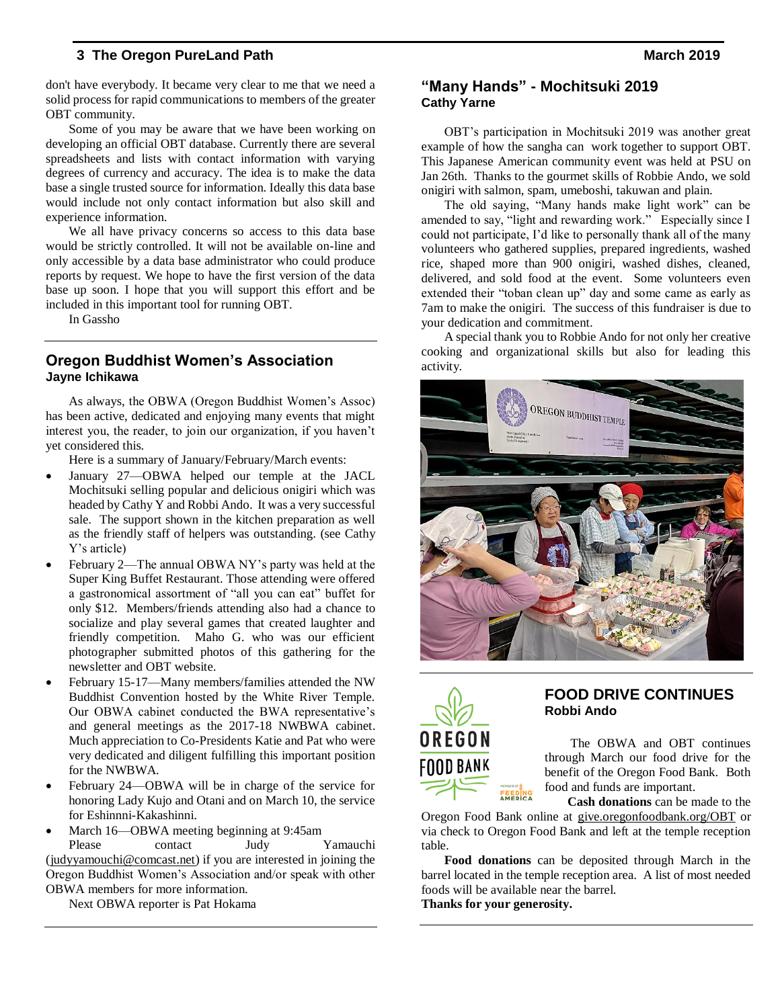don't have everybody. It became very clear to me that we need a solid process for rapid communications to members of the greater OBT community.

Some of you may be aware that we have been working on developing an official OBT database. Currently there are several spreadsheets and lists with contact information with varying degrees of currency and accuracy. The idea is to make the data base a single trusted source for information. Ideally this data base would include not only contact information but also skill and experience information.

We all have privacy concerns so access to this data base would be strictly controlled. It will not be available on-line and only accessible by a data base administrator who could produce reports by request. We hope to have the first version of the data base up soon. I hope that you will support this effort and be included in this important tool for running OBT.

In Gassho

#### **Oregon Buddhist Women's Association Jayne Ichikawa**

As always, the OBWA (Oregon Buddhist Women's Assoc) has been active, dedicated and enjoying many events that might interest you, the reader, to join our organization, if you haven't yet considered this.

Here is a summary of January/February/March events:

- January 27—OBWA helped our temple at the JACL Mochitsuki selling popular and delicious onigiri which was headed by Cathy Y and Robbi Ando. It was a very successful sale. The support shown in the kitchen preparation as well as the friendly staff of helpers was outstanding. (see Cathy Y's article)
- February 2—The annual OBWA NY's party was held at the Super King Buffet Restaurant. Those attending were offered a gastronomical assortment of "all you can eat" buffet for only \$12. Members/friends attending also had a chance to socialize and play several games that created laughter and friendly competition. Maho G. who was our efficient photographer submitted photos of this gathering for the newsletter and OBT website.
- February 15-17—Many members/families attended the NW Buddhist Convention hosted by the White River Temple. Our OBWA cabinet conducted the BWA representative's and general meetings as the 2017-18 NWBWA cabinet. Much appreciation to Co-Presidents Katie and Pat who were very dedicated and diligent fulfilling this important position for the NWBWA.
- February 24—OBWA will be in charge of the service for honoring Lady Kujo and Otani and on March 10, the service for Eshinnni-Kakashinni.
- March 16—OBWA meeting beginning at 9:45am Please contact Judy Yamauchi

[\(judyyamouchi@comcast.net\)](mailto:judyyamouchi@comcast.net) if you are interested in joining the Oregon Buddhist Women's Association and/or speak with other OBWA members for more information.

Next OBWA reporter is Pat Hokama

### **"Many Hands" - Mochitsuki 2019 Cathy Yarne**

OBT's participation in Mochitsuki 2019 was another great example of how the sangha can work together to support OBT. This Japanese American community event was held at PSU on Jan 26th. Thanks to the gourmet skills of Robbie Ando, we sold onigiri with salmon, spam, umeboshi, takuwan and plain.

The old saying, "Many hands make light work" can be amended to say, "light and rewarding work." Especially since I could not participate, I'd like to personally thank all of the many volunteers who gathered supplies, prepared ingredients, washed rice, shaped more than 900 onigiri, washed dishes, cleaned, delivered, and sold food at the event. Some volunteers even extended their "toban clean up" day and some came as early as 7am to make the onigiri. The success of this fundraiser is due to your dedication and commitment.

A special thank you to Robbie Ando for not only her creative cooking and organizational skills but also for leading this activity.





### **FOOD DRIVE CONTINUES Robbi Ando**

The OBWA and OBT continues through March our food drive for the benefit of the Oregon Food Bank. Both food and funds are important.

**Cash donations** can be made to the

Oregon Food Bank online at [give.oregonfoodbank.org/OBT](https://give.oregonfoodbank.org/team/206017) or via check to Oregon Food Bank and left at the temple reception table.

**Food donations** can be deposited through March in the barrel located in the temple reception area. A list of most needed foods will be available near the barrel.

**Thanks for your generosity.**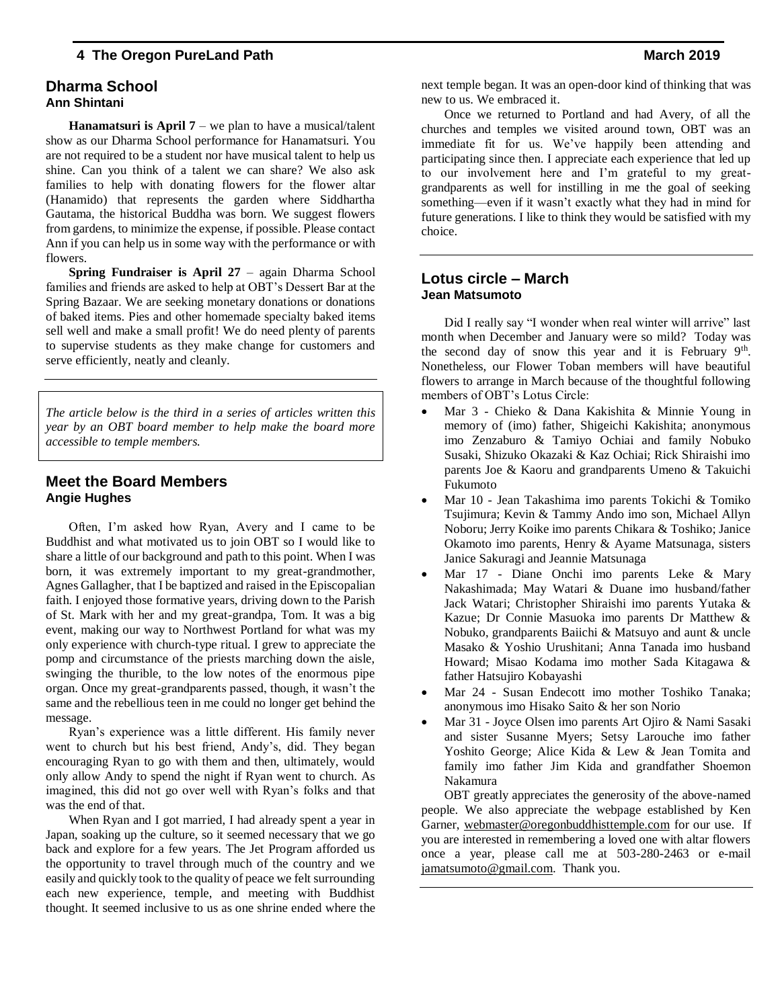#### **Dharma School Ann Shintani**

**Hanamatsuri is April**  $7$  **– we plan to have a musical/talent** show as our Dharma School performance for Hanamatsuri. You are not required to be a student nor have musical talent to help us shine. Can you think of a talent we can share? We also ask families to help with donating flowers for the flower altar (Hanamido) that represents the garden where Siddhartha Gautama, the historical Buddha was born. We suggest flowers from gardens, to minimize the expense, if possible. Please contact Ann if you can help us in some way with the performance or with flowers.

**Spring Fundraiser is April 27 – again Dharma School** families and friends are asked to help at OBT's Dessert Bar at the Spring Bazaar. We are seeking monetary donations or donations of baked items. Pies and other homemade specialty baked items sell well and make a small profit! We do need plenty of parents to supervise students as they make change for customers and serve efficiently, neatly and cleanly.

*The article below is the third in a series of articles written this year by an OBT board member to help make the board more accessible to temple members.*

#### **Meet the Board Members Angie Hughes**

Often, I'm asked how Ryan, Avery and I came to be Buddhist and what motivated us to join OBT so I would like to share a little of our background and path to this point. When I was born, it was extremely important to my great-grandmother, Agnes Gallagher, that I be baptized and raised in the Episcopalian faith. I enjoyed those formative years, driving down to the Parish of St. Mark with her and my great-grandpa, Tom. It was a big event, making our way to Northwest Portland for what was my only experience with church-type ritual. I grew to appreciate the pomp and circumstance of the priests marching down the aisle, swinging the thurible, to the low notes of the enormous pipe organ. Once my great-grandparents passed, though, it wasn't the same and the rebellious teen in me could no longer get behind the message.

Ryan's experience was a little different. His family never went to church but his best friend, Andy's, did. They began encouraging Ryan to go with them and then, ultimately, would only allow Andy to spend the night if Ryan went to church. As imagined, this did not go over well with Ryan's folks and that was the end of that.

When Ryan and I got married, I had already spent a year in Japan, soaking up the culture, so it seemed necessary that we go back and explore for a few years. The Jet Program afforded us the opportunity to travel through much of the country and we easily and quickly took to the quality of peace we felt surrounding each new experience, temple, and meeting with Buddhist thought. It seemed inclusive to us as one shrine ended where the

next temple began. It was an open-door kind of thinking that was new to us. We embraced it.

Once we returned to Portland and had Avery, of all the churches and temples we visited around town, OBT was an immediate fit for us. We've happily been attending and participating since then. I appreciate each experience that led up to our involvement here and I'm grateful to my greatgrandparents as well for instilling in me the goal of seeking something—even if it wasn't exactly what they had in mind for future generations. I like to think they would be satisfied with my choice.

#### **Lotus circle – March Jean Matsumoto**

Did I really say "I wonder when real winter will arrive" last month when December and January were so mild? Today was the second day of snow this year and it is February  $9<sup>th</sup>$ . Nonetheless, our Flower Toban members will have beautiful flowers to arrange in March because of the thoughtful following members of OBT's Lotus Circle:

- Mar 3 Chieko & Dana Kakishita & Minnie Young in memory of (imo) father, Shigeichi Kakishita; anonymous imo Zenzaburo & Tamiyo Ochiai and family Nobuko Susaki, Shizuko Okazaki & Kaz Ochiai; Rick Shiraishi imo parents Joe & Kaoru and grandparents Umeno & Takuichi Fukumoto
- Mar 10 Jean Takashima imo parents Tokichi & Tomiko Tsujimura; Kevin & Tammy Ando imo son, Michael Allyn Noboru; Jerry Koike imo parents Chikara & Toshiko; Janice Okamoto imo parents, Henry & Ayame Matsunaga, sisters Janice Sakuragi and Jeannie Matsunaga
- Mar 17 Diane Onchi imo parents Leke & Mary Nakashimada; May Watari & Duane imo husband/father Jack Watari; Christopher Shiraishi imo parents Yutaka & Kazue; Dr Connie Masuoka imo parents Dr Matthew & Nobuko, grandparents Baiichi & Matsuyo and aunt & uncle Masako & Yoshio Urushitani; Anna Tanada imo husband Howard; Misao Kodama imo mother Sada Kitagawa & father Hatsujiro Kobayashi
- Mar 24 Susan Endecott imo mother Toshiko Tanaka; anonymous imo Hisako Saito & her son Norio
- Mar 31 Joyce Olsen imo parents Art Ojiro & Nami Sasaki and sister Susanne Myers; Setsy Larouche imo father Yoshito George; Alice Kida & Lew & Jean Tomita and family imo father Jim Kida and grandfather Shoemon Nakamura

OBT greatly appreciates the generosity of the above-named people. We also appreciate the webpage established by Ken Garner, [webmaster@oregonbuddhisttemple.com](mailto:webmaster@oregonbuddhisttemple.com) for our use. If you are interested in remembering a loved one with altar flowers once a year, please call me at 503-280-2463 or e-mail [jamatsumoto@gmail.com.](mailto:jamatsumoto@gmail.com) Thank you.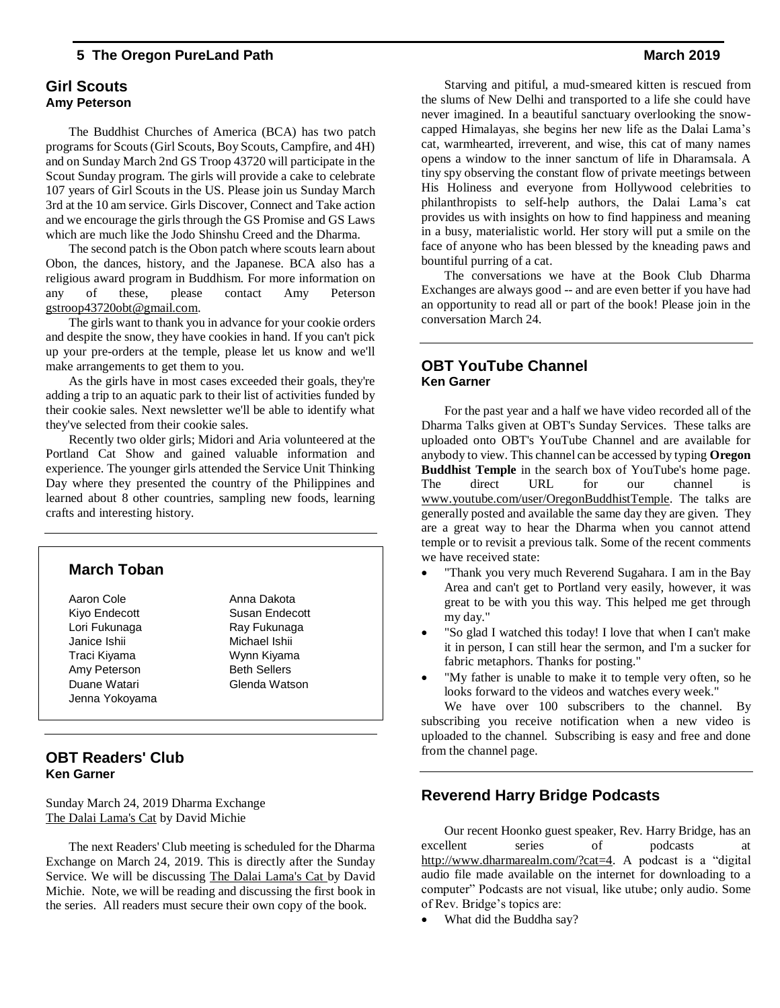#### **Girl Scouts Amy Peterson**

The Buddhist Churches of America (BCA) has two patch programs for Scouts (Girl Scouts, Boy Scouts, Campfire, and 4H) and on Sunday March 2nd GS Troop 43720 will participate in the Scout Sunday program. The girls will provide a cake to celebrate 107 years of Girl Scouts in the US. Please join us Sunday March 3rd at the 10 am service. Girls Discover, Connect and Take action and we encourage the girls through the GS Promise and GS Laws which are much like the Jodo Shinshu Creed and the Dharma.

The second patch is the Obon patch where scouts learn about Obon, the dances, history, and the Japanese. BCA also has a religious award program in Buddhism. For more information on any of these, please contact Amy Peterson [gstroop43720obt@gmail.com.](mailto:gstroop43720obt@gmail.com)

The girls want to thank you in advance for your cookie orders and despite the snow, they have cookies in hand. If you can't pick up your pre-orders at the temple, please let us know and we'll make arrangements to get them to you.

As the girls have in most cases exceeded their goals, they're adding a trip to an aquatic park to their list of activities funded by their cookie sales. Next newsletter we'll be able to identify what they've selected from their cookie sales.

Recently two older girls; Midori and Aria volunteered at the Portland Cat Show and gained valuable information and experience. The younger girls attended the Service Unit Thinking Day where they presented the country of the Philippines and learned about 8 other countries, sampling new foods, learning crafts and interesting history.

### **March Toban**

Kiyo Endecott Susan Endecott Lori Fukunaga **Ray Fukunaga** Janice Ishii **Michael Ishii** Traci Kiyama Wynn Kiyama Amy Peterson Beth Sellers Duane Watari **Glenda Watson** Jenna Yokoyama

Aaron Cole **Anna Dakota** 

### **OBT Readers' Club Ken Garner**

Sunday March 24, 2019 Dharma Exchange The Dalai Lama's Cat by David Michie

The next Readers' Club meeting is scheduled for the Dharma Exchange on March 24, 2019. This is directly after the Sunday Service. We will be discussing The Dalai Lama's Cat by David Michie. Note, we will be reading and discussing the first book in the series. All readers must secure their own copy of the book.

Starving and pitiful, a mud-smeared kitten is rescued from the slums of New Delhi and transported to a life she could have never imagined. In a beautiful sanctuary overlooking the snowcapped Himalayas, she begins her new life as the Dalai Lama's cat, warmhearted, irreverent, and wise, this cat of many names opens a window to the inner sanctum of life in Dharamsala. A tiny spy observing the constant flow of private meetings between His Holiness and everyone from Hollywood celebrities to philanthropists to self-help authors, the Dalai Lama's cat provides us with insights on how to find happiness and meaning in a busy, materialistic world. Her story will put a smile on the face of anyone who has been blessed by the kneading paws and bountiful purring of a cat.

The conversations we have at the Book Club Dharma Exchanges are always good -- and are even better if you have had an opportunity to read all or part of the book! Please join in the conversation March 24.

### **OBT YouTube Channel Ken Garner**

For the past year and a half we have video recorded all of the Dharma Talks given at OBT's Sunday Services. These talks are uploaded onto OBT's YouTube Channel and are available for anybody to view. This channel can be accessed by typing **Oregon Buddhist Temple** in the search box of YouTube's home page. The direct URL for our channel is [www.youtube.com/user/OregonBuddhistTemple.](http://www.youtube.com/user/OregonBuddhistTemple) The talks are generally posted and available the same day they are given. They are a great way to hear the Dharma when you cannot attend temple or to revisit a previous talk. Some of the recent comments we have received state:

- "Thank you very much Reverend Sugahara. I am in the Bay Area and can't get to Portland very easily, however, it was great to be with you this way. This helped me get through my day."
- "So glad I watched this today! I love that when I can't make it in person, I can still hear the sermon, and I'm a sucker for fabric metaphors. Thanks for posting."
- "My father is unable to make it to temple very often, so he looks forward to the videos and watches every week."

We have over 100 subscribers to the channel. By subscribing you receive notification when a new video is uploaded to the channel. Subscribing is easy and free and done from the channel page.

#### **Reverend Harry Bridge Podcasts**

Our recent Hoonko guest speaker, Rev. Harry Bridge, has an excellent series of podcasts [http://www.dharmarealm.com/?cat=4.](http://www.dharmarealm.com/?cat=4) A podcast is a "digital audio file made available on the internet for downloading to a computer" Podcasts are not visual, like utube; only audio. Some of Rev. Bridge's topics are:

• What did the Buddha say?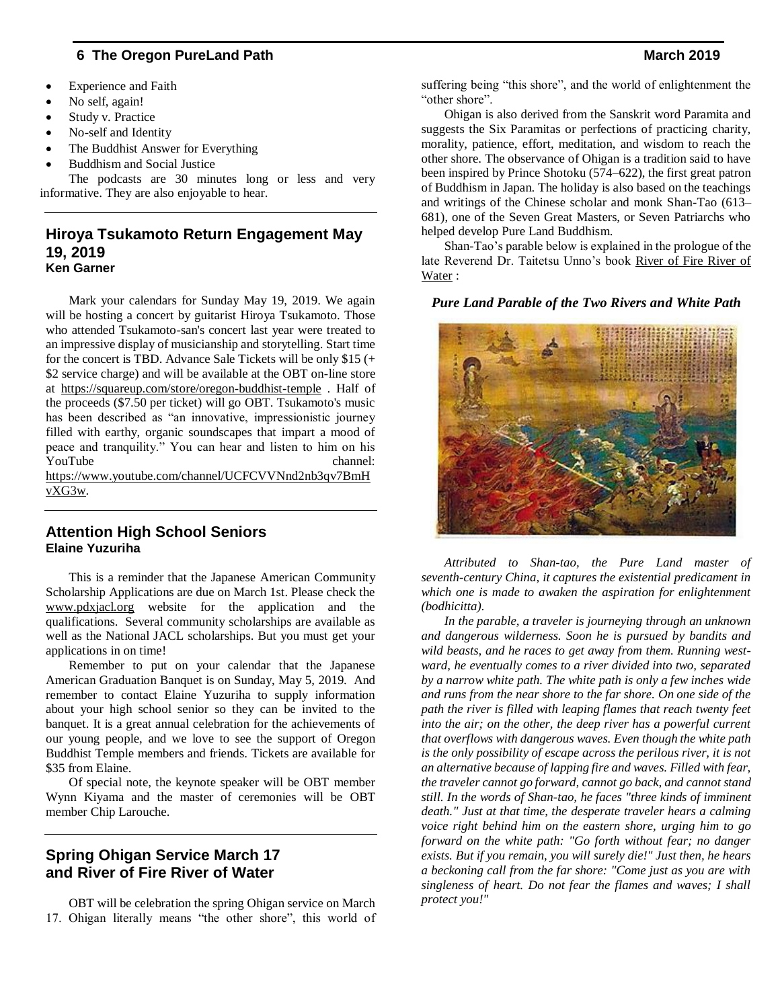### **6 The Oregon PureLand Path March 2019**

- Experience and Faith
- No self, again!
- Study v. Practice
- No-self and Identity
- The Buddhist Answer for Everything
- Buddhism and Social Justice

The podcasts are 30 minutes long or less and very informative. They are also enjoyable to hear.

#### **Hiroya Tsukamoto Return Engagement May 19, 2019 Ken Garner**

Mark your calendars for Sunday May 19, 2019. We again will be hosting a concert by guitarist Hiroya Tsukamoto. Those who attended Tsukamoto-san's concert last year were treated to an impressive display of musicianship and storytelling. Start time for the concert is TBD. Advance Sale Tickets will be only \$15 (+ \$2 service charge) and will be available at the OBT on-line store at <https://squareup.com/store/oregon-buddhist-temple> . Half of the proceeds (\$7.50 per ticket) will go OBT. Tsukamoto's music has been described as "an innovative, impressionistic journey filled with earthy, organic soundscapes that impart a mood of peace and tranquility." You can hear and listen to him on his YouTube channel: [https://www.youtube.com/channel/UCFCVVNnd2nb3qv7BmH](https://www.youtube.com/channel/UCFCVVNnd2nb3qv7BmHvXG3w)

[vXG3w.](https://www.youtube.com/channel/UCFCVVNnd2nb3qv7BmHvXG3w)

#### **Attention High School Seniors Elaine Yuzuriha**

This is a reminder that the Japanese American Community Scholarship Applications are due on March 1st. Please check the [www.pdxjacl.org](http://www.pdxjacl.org/) website for the application and the qualifications. Several community scholarships are available as well as the National JACL scholarships. But you must get your applications in on time!

Remember to put on your calendar that the Japanese American Graduation Banquet is on Sunday, May 5, 2019. And remember to contact Elaine Yuzuriha to supply information about your high school senior so they can be invited to the banquet. It is a great annual celebration for the achievements of our young people, and we love to see the support of Oregon Buddhist Temple members and friends. Tickets are available for \$35 from Elaine.

Of special note, the keynote speaker will be OBT member Wynn Kiyama and the master of ceremonies will be OBT member Chip Larouche.

### **Spring Ohigan Service March 17 and River of Fire River of Water**

OBT will be celebration the spring Ohigan service on March 17. Ohigan literally means "the other shore", this world of suffering being "this shore", and the world of enlightenment the "other shore".

Ohigan is also derived from the Sanskrit word Paramita and suggests the Six Paramitas or perfections of practicing charity, morality, patience, effort, meditation, and wisdom to reach the other shore. The observance of Ohigan is a tradition said to have been inspired by Prince Shotoku (574–622), the first great patron of Buddhism in Japan. The holiday is also based on the teachings and writings of the Chinese scholar and monk Shan-Tao (613– 681), one of the Seven Great Masters, or Seven Patriarchs who helped develop Pure Land Buddhism.

Shan-Tao's parable below is explained in the prologue of the late Reverend Dr. Taitetsu Unno's book River of Fire River of Water :

#### *Pure Land Parable of the Two Rivers and White Path*



*Attributed to Shan-tao, the Pure Land master of seventh-century China, it captures the existential predicament in which one is made to awaken the aspiration for enlightenment (bodhicitta).*

*In the parable, a traveler is journeying through an unknown and dangerous wilderness. Soon he is pursued by bandits and wild beasts, and he races to get away from them. Running westward, he eventually comes to a river divided into two, separated by a narrow white path. The white path is only a few inches wide and runs from the near shore to the far shore. On one side of the path the river is filled with leaping flames that reach twenty feet into the air; on the other, the deep river has a powerful current that overflows with dangerous waves. Even though the white path is the only possibility of escape across the perilous river, it is not an alternative because of lapping fire and waves. Filled with fear, the traveler cannot go forward, cannot go back, and cannot stand still. In the words of Shan-tao, he faces "three kinds of imminent death." Just at that time, the desperate traveler hears a calming voice right behind him on the eastern shore, urging him to go forward on the white path: "Go forth without fear; no danger exists. But if you remain, you will surely die!" Just then, he hears a beckoning call from the far shore: "Come just as you are with singleness of heart. Do not fear the flames and waves; I shall protect you!"*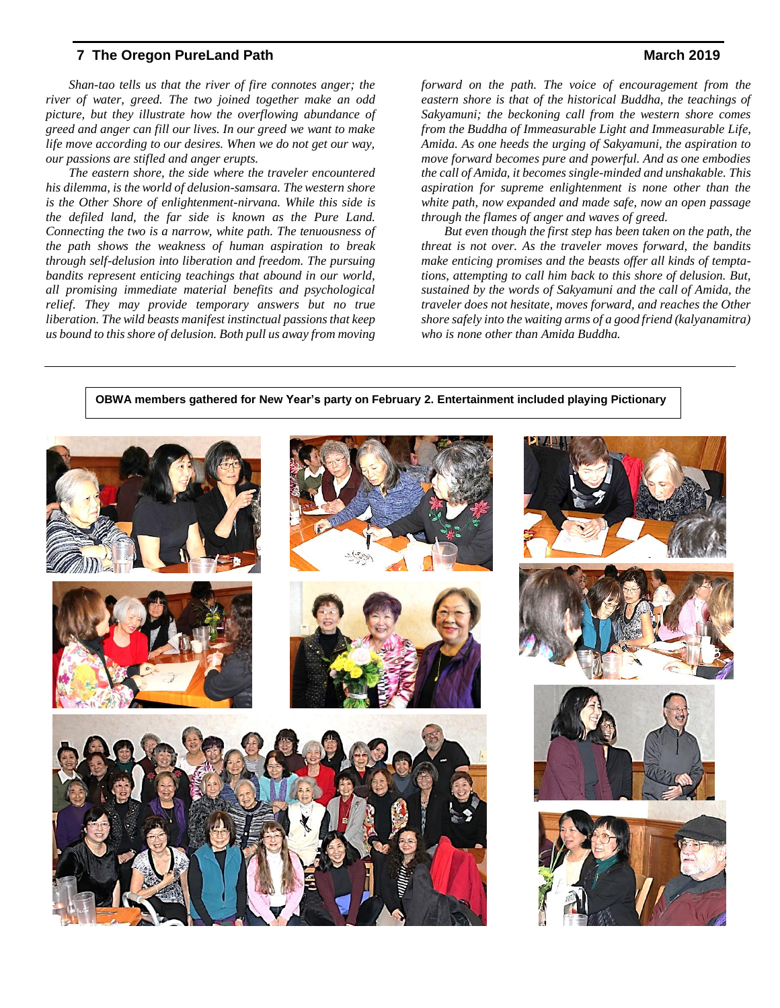*Shan-tao tells us that the river of fire connotes anger; the river of water, greed. The two joined together make an odd picture, but they illustrate how the overflowing abundance of greed and anger can fill our lives. In our greed we want to make life move according to our desires. When we do not get our way, our passions are stifled and anger erupts.*

*The eastern shore, the side where the traveler encountered his dilemma, is the world of delusion-samsara. The western shore is the Other Shore of enlightenment-nirvana. While this side is the defiled land, the far side is known as the Pure Land. Connecting the two is a narrow, white path. The tenuousness of the path shows the weakness of human aspiration to break through self-delusion into liberation and freedom. The pursuing bandits represent enticing teachings that abound in our world, all promising immediate material benefits and psychological relief. They may provide temporary answers but no true liberation. The wild beasts manifest instinctual passions that keep us bound to this shore of delusion. Both pull us away from moving* 

*forward on the path. The voice of encouragement from the eastern shore is that of the historical Buddha, the teachings of Sakyamuni; the beckoning call from the western shore comes from the Buddha of Immeasurable Light and Immeasurable Life, Amida. As one heeds the urging of Sakyamuni, the aspiration to move forward becomes pure and powerful. And as one embodies the call of Amida, it becomes single-minded and unshakable. This aspiration for supreme enlightenment is none other than the white path, now expanded and made safe, now an open passage through the flames of anger and waves of greed.*

*But even though the first step has been taken on the path, the threat is not over. As the traveler moves forward, the bandits make enticing promises and the beasts offer all kinds of temptations, attempting to call him back to this shore of delusion. But, sustained by the words of Sakyamuni and the call of Amida, the traveler does not hesitate, moves forward, and reaches the Other shore safely into the waiting arms of a good friend (kalyanamitra) who is none other than Amida Buddha.*

**OBWA members gathered for New Year's party on February 2. Entertainment included playing Pictionary**